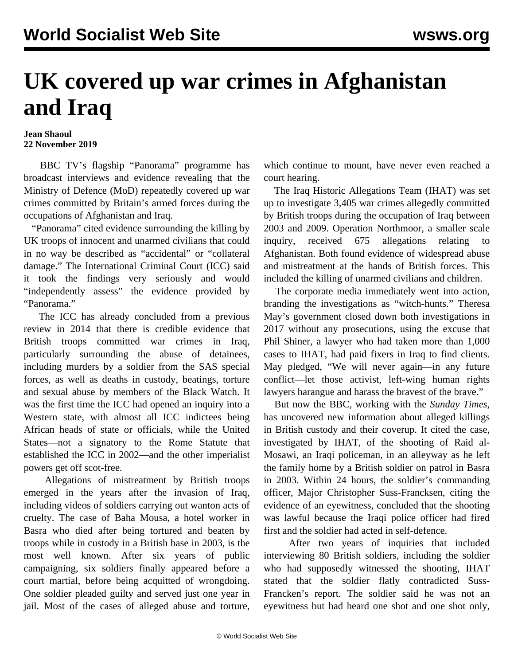## **UK covered up war crimes in Afghanistan and Iraq**

## **Jean Shaoul 22 November 2019**

 BBC TV's flagship "Panorama" programme has broadcast interviews and evidence revealing that the Ministry of Defence (MoD) repeatedly covered up war crimes committed by Britain's armed forces during the occupations of Afghanistan and Iraq.

 "Panorama" cited evidence surrounding the killing by UK troops of innocent and unarmed civilians that could in no way be described as "accidental" or "collateral damage." The International Criminal Court (ICC) said it took the findings very seriously and would "independently assess" the evidence provided by "Panorama."

 The ICC has already concluded from a previous review in 2014 that there is credible evidence that British troops committed war crimes in Iraq, particularly surrounding the abuse of detainees, including murders by a soldier from the SAS special forces, as well as deaths in custody, beatings, torture and sexual abuse by members of the Black Watch. It was the first time the ICC had opened an inquiry into a Western state, with almost all ICC indictees being African heads of state or officials, while the United States—not a signatory to the Rome Statute that established the ICC in 2002—and the other imperialist powers get off scot-free.

 Allegations of mistreatment by British troops emerged in the years after the invasion of Iraq, including videos of soldiers carrying out wanton acts of cruelty. The case of Baha Mousa, a hotel worker in Basra who died after being tortured and beaten by troops while in custody in a British base in 2003, is the most well known. After six years of public campaigning, six soldiers finally appeared before a court martial, before being acquitted of wrongdoing. One soldier pleaded guilty and served just one year in jail. Most of the cases of alleged abuse and torture,

which continue to mount, have never even reached a court hearing.

 The Iraq Historic Allegations Team (IHAT) was set up to investigate 3,405 war crimes allegedly committed by British troops during the occupation of Iraq between 2003 and 2009. Operation Northmoor, a smaller scale inquiry, received 675 allegations relating to Afghanistan. Both found evidence of widespread abuse and mistreatment at the hands of British forces. This included the killing of unarmed civilians and children.

 The corporate media immediately went into action, branding the investigations as "witch-hunts." Theresa May's government closed down both investigations in 2017 without any prosecutions, using the excuse that Phil Shiner, a lawyer who had taken more than 1,000 cases to IHAT, had paid fixers in Iraq to find clients. May pledged, "We will never again—in any future conflict—let those activist, left-wing human rights lawyers harangue and harass the bravest of the brave."

 But now the BBC, working with the *Sunday Times*, has uncovered new information about alleged killings in British custody and their coverup. It cited the case, investigated by IHAT, of the shooting of Raid al-Mosawi, an Iraqi policeman, in an alleyway as he left the family home by a British soldier on patrol in Basra in 2003. Within 24 hours, the soldier's commanding officer, Major Christopher Suss-Francksen, citing the evidence of an eyewitness, concluded that the shooting was lawful because the Iraqi police officer had fired first and the soldier had acted in self-defence.

 After two years of inquiries that included interviewing 80 British soldiers, including the soldier who had supposedly witnessed the shooting, IHAT stated that the soldier flatly contradicted Suss-Francken's report. The soldier said he was not an eyewitness but had heard one shot and one shot only,